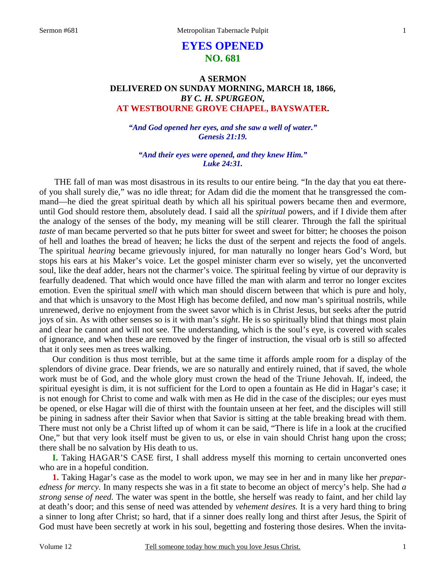# **EYES OPENED NO. 681**

# **A SERMON DELIVERED ON SUNDAY MORNING, MARCH 18, 1866,**  *BY C. H. SPURGEON,*  **AT WESTBOURNE GROVE CHAPEL, BAYSWATER.**

*"And God opened her eyes, and she saw a well of water." Genesis 21:19.* 

*"And their eyes were opened, and they knew Him." Luke 24:31.* 

THE fall of man was most disastrous in its results to our entire being. "In the day that you eat thereof you shall surely die," was no idle threat; for Adam did die the moment that he transgressed the command—he died the great spiritual death by which all his spiritual powers became then and evermore, until God should restore them, absolutely dead. I said all the *spiritual* powers, and if I divide them after the analogy of the senses of the body, my meaning will be still clearer. Through the fall the spiritual *taste* of man became perverted so that he puts bitter for sweet and sweet for bitter; he chooses the poison of hell and loathes the bread of heaven; he licks the dust of the serpent and rejects the food of angels. The spiritual *hearing* became grievously injured, for man naturally no longer hears God's Word, but stops his ears at his Maker's voice. Let the gospel minister charm ever so wisely, yet the unconverted soul, like the deaf adder, hears not the charmer's voice. The spiritual feeling by virtue of our depravity is fearfully deadened. That which would once have filled the man with alarm and terror no longer excites emotion. Even the spiritual *smell* with which man should discern between that which is pure and holy, and that which is unsavory to the Most High has become defiled, and now man's spiritual nostrils, while unrenewed, derive no enjoyment from the sweet savor which is in Christ Jesus, but seeks after the putrid joys of sin. As with other senses so is it with man's *sight*. He is so spiritually blind that things most plain and clear he cannot and will not see. The understanding, which is the soul's eye, is covered with scales of ignorance, and when these are removed by the finger of instruction, the visual orb is still so affected that it only sees men as trees walking.

 Our condition is thus most terrible, but at the same time it affords ample room for a display of the splendors of divine grace. Dear friends, we are so naturally and entirely ruined, that if saved, the whole work must be of God, and the whole glory must crown the head of the Triune Jehovah. If, indeed, the spiritual eyesight is dim, it is not sufficient for the Lord to open a fountain as He did in Hagar's case; it is not enough for Christ to come and walk with men as He did in the case of the disciples; our eyes must be opened, or else Hagar will die of thirst with the fountain unseen at her feet, and the disciples will still be pining in sadness after their Savior when that Savior is sitting at the table breaking bread with them. There must not only be a Christ lifted up of whom it can be said, "There is life in a look at the crucified One," but that very look itself must be given to us, or else in vain should Christ hang upon the cross; there shall be no salvation by His death to us.

**I.** Taking HAGAR'S CASE first, I shall address myself this morning to certain unconverted ones who are in a hopeful condition.

**1.** Taking Hagar's case as the model to work upon, we may see in her and in many like her *preparedness for mercy.* In many respects she was in a fit state to become an object of mercy's help. She had *a strong sense of need.* The water was spent in the bottle, she herself was ready to faint, and her child lay at death's door; and this sense of need was attended by *vehement desires.* It is a very hard thing to bring a sinner to long after Christ; so hard, that if a sinner does really long and thirst after Jesus, the Spirit of God must have been secretly at work in his soul, begetting and fostering those desires. When the invita-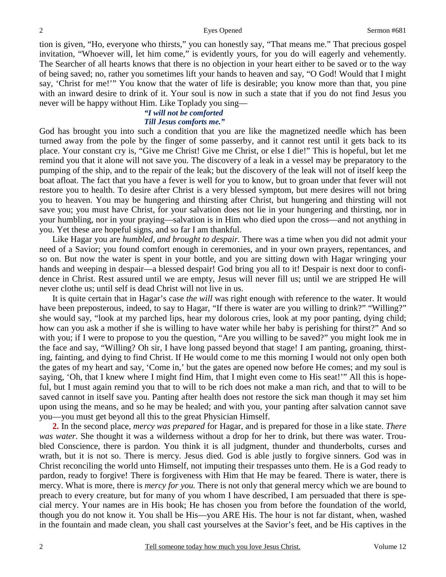### Eyes Opened Sermon #681

tion is given, "Ho, everyone who thirsts," you can honestly say, "That means me." That precious gospel invitation, "Whoever will, let him come," is evidently yours, for you do will eagerly and vehemently. The Searcher of all hearts knows that there is no objection in your heart either to be saved or to the way of being saved; no, rather you sometimes lift your hands to heaven and say, "O God! Would that I might say, 'Christ for me!'" You know that the water of life is desirable; you know more than that, you pine with an inward desire to drink of it. Your soul is now in such a state that if you do not find Jesus you never will be happy without Him. Like Toplady you sing—

### *"I will not be comforted Till Jesus comforts me."*

God has brought you into such a condition that you are like the magnetized needle which has been turned away from the pole by the finger of some passerby, and it cannot rest until it gets back to its place. Your constant cry is, "Give me Christ! Give me Christ, or else I die!" This is hopeful, but let me remind you that it alone will not save you. The discovery of a leak in a vessel may be preparatory to the pumping of the ship, and to the repair of the leak; but the discovery of the leak will not of itself keep the boat afloat. The fact that you have a fever is well for you to know, but to groan under that fever will not restore you to health. To desire after Christ is a very blessed symptom, but mere desires will not bring you to heaven. You may be hungering and thirsting after Christ, but hungering and thirsting will not save you; you must have Christ, for your salvation does not lie in your hungering and thirsting, nor in your humbling, nor in your praying—salvation is in Him who died upon the cross—and not anything in you. Yet these are hopeful signs, and so far I am thankful.

 Like Hagar you are *humbled, and brought to despair.* There was a time when you did not admit your need of a Savior; you found comfort enough in ceremonies, and in your own prayers, repentances, and so on. But now the water is spent in your bottle, and you are sitting down with Hagar wringing your hands and weeping in despair—a blessed despair! God bring you all to it! Despair is next door to confidence in Christ. Rest assured until we are empty, Jesus will never fill us; until we are stripped He will never clothe us; until self is dead Christ will not live in us.

 It is quite certain that in Hagar's case *the will* was right enough with reference to the water. It would have been preposterous, indeed, to say to Hagar, "If there is water are you willing to drink?" "Willing?" she would say, "look at my parched lips, hear my dolorous cries, look at my poor panting, dying child; how can you ask a mother if she is willing to have water while her baby is perishing for thirst?" And so with you; if I were to propose to you the question, "Are you willing to be saved?" you might look me in the face and say, "Willing? Oh sir, I have long passed beyond that stage! I am panting, groaning, thirsting, fainting, and dying to find Christ. If He would come to me this morning I would not only open both the gates of my heart and say, 'Come in,' but the gates are opened now before He comes; and my soul is saying, 'Oh, that I knew where I might find Him, that I might even come to His seat!'" All this is hopeful, but I must again remind you that to will to be rich does not make a man rich, and that to will to be saved cannot in itself save you. Panting after health does not restore the sick man though it may set him upon using the means, and so he may be healed; and with you, your panting after salvation cannot save you—you must get beyond all this to the great Physician Himself.

**2.** In the second place, *mercy was prepared* for Hagar, and is prepared for those in a like state. *There was water.* She thought it was a wilderness without a drop for her to drink, but there was water. Troubled Conscience, there is pardon. You think it is all judgment, thunder and thunderbolts, curses and wrath, but it is not so. There is mercy. Jesus died. God is able justly to forgive sinners. God was in Christ reconciling the world unto Himself, not imputing their trespasses unto them. He is a God ready to pardon, ready to forgive! There is forgiveness with Him that He may be feared. There is water, there is mercy. What is more, there is *mercy for you.* There is not only that general mercy which we are bound to preach to every creature, but for many of you whom I have described, I am persuaded that there is special mercy. Your names are in His book; He has chosen you from before the foundation of the world, though you do not know it. You shall be His—you ARE His. The hour is not far distant, when, washed in the fountain and made clean, you shall cast yourselves at the Savior's feet, and be His captives in the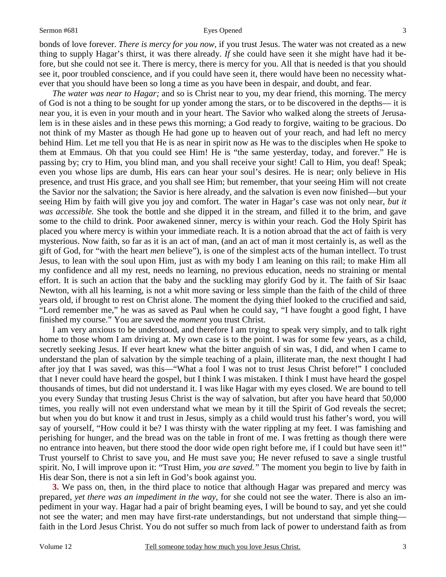3

bonds of love forever. *There is mercy for you now,* if you trust Jesus. The water was not created as a new thing to supply Hagar's thirst, it was there already. *If* she could have seen it she might have had it before, but she could not see it. There is mercy, there is mercy for you. All that is needed is that you should see it, poor troubled conscience, and if you could have seen it, there would have been no necessity whatever that you should have been so long a time as you have been in despair, and doubt, and fear.

*The water was near to Hagar;* and so is Christ near to you, my dear friend, this morning. The mercy of God is not a thing to be sought for up yonder among the stars, or to be discovered in the depths— it is near you, it is even in your mouth and in your heart. The Savior who walked along the streets of Jerusalem is in these aisles and in these pews this morning; a God ready to forgive, waiting to be gracious. Do not think of my Master as though He had gone up to heaven out of your reach, and had left no mercy behind Him. Let me tell you that He is as near in spirit now as He was to the disciples when He spoke to them at Emmaus. Oh that you could see Him! He is "the same yesterday, today, and forever." He is passing by; cry to Him, you blind man, and you shall receive your sight! Call to Him, you deaf! Speak; even you whose lips are dumb, His ears can hear your soul's desires. He is near; only believe in His presence, and trust His grace, and you shall see Him; but remember, that your seeing Him will not create the Savior nor the salvation; the Savior is here already, and the salvation is even now finished—but your seeing Him by faith will give you joy and comfort. The water in Hagar's case was not only near, *but it was accessible.* She took the bottle and she dipped it in the stream, and filled it to the brim, and gave some to the child to drink. Poor awakened sinner, mercy is within your reach. God the Holy Spirit has placed you where mercy is within your immediate reach. It is a notion abroad that the act of faith is very mysterious. Now faith, so far as it is an act of man, (and an act of man it most certainly is, as well as the gift of God, for "with the heart *men* believe"), is one of the simplest acts of the human intellect. To trust Jesus, to lean with the soul upon Him, just as with my body I am leaning on this rail; to make Him all my confidence and all my rest, needs no learning, no previous education, needs no straining or mental effort. It is such an action that the baby and the suckling may glorify God by it. The faith of Sir Isaac Newton, with all his learning, is not a whit more saving or less simple than the faith of the child of three years old, if brought to rest on Christ alone. The moment the dying thief looked to the crucified and said, "Lord remember me," he was as saved as Paul when he could say, "I have fought a good fight, I have finished my course." You are saved the *moment* you trust Christ.

 I am very anxious to be understood, and therefore I am trying to speak very simply, and to talk right home to those whom I am driving at. My own case is to the point. I was for some few years, as a child, secretly seeking Jesus. If ever heart knew what the bitter anguish of sin was, I did, and when I came to understand the plan of salvation by the simple teaching of a plain, illiterate man, the next thought I had after joy that I was saved, was this—"What a fool I was not to trust Jesus Christ before!" I concluded that I never could have heard the gospel, but I think I was mistaken. I think I must have heard the gospel thousands of times, but did not understand it. I was like Hagar with my eyes closed. We are bound to tell you every Sunday that trusting Jesus Christ is the way of salvation, but after you have heard that 50,000 times, you really will not even understand what we mean by it till the Spirit of God reveals the secret; but when you do but know it and trust in Jesus, simply as a child would trust his father's word, you will say of yourself, "How could it be? I was thirsty with the water rippling at my feet. I was famishing and perishing for hunger, and the bread was on the table in front of me. I was fretting as though there were no entrance into heaven, but there stood the door wide open right before me, if I could but have seen it!" Trust yourself to Christ to save you, and He must save you; He never refused to save a single trustful spirit. No, I will improve upon it: "Trust Him, *you are saved."* The moment you begin to live by faith in His dear Son, there is not a sin left in God's book against you.

**3.** We pass on, then, in the third place to notice that although Hagar was prepared and mercy was prepared, *yet there was an impediment in the way,* for she could not see the water. There is also an impediment in your way. Hagar had a pair of bright beaming eyes, I will be bound to say, and yet she could not see the water; and men may have first-rate understandings, but not understand that simple thing faith in the Lord Jesus Christ. You do not suffer so much from lack of power to understand faith as from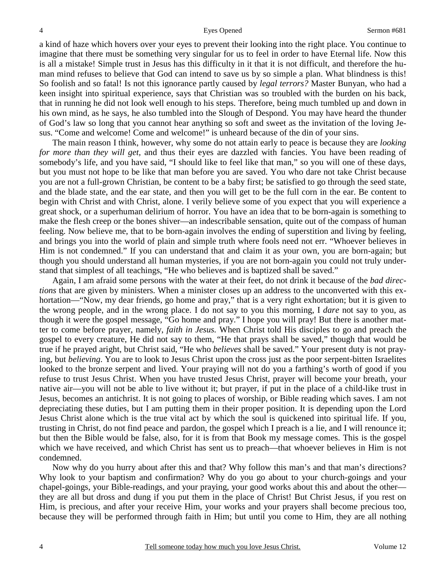### Eyes Opened Sermon #681

a kind of haze which hovers over your eyes to prevent their looking into the right place. You continue to imagine that there must be something very singular for us to feel in order to have Eternal life. Now this is all a mistake! Simple trust in Jesus has this difficulty in it that it is not difficult, and therefore the human mind refuses to believe that God can intend to save us by so simple a plan. What blindness is this! So foolish and so fatal! Is not this ignorance partly caused by *legal terrors?* Master Bunyan, who had a keen insight into spiritual experience, says that Christian was so troubled with the burden on his back, that in running he did not look well enough to his steps. Therefore, being much tumbled up and down in his own mind, as he says, he also tumbled into the Slough of Despond. You may have heard the thunder of God's law so long that you cannot hear anything so soft and sweet as the invitation of the loving Jesus. "Come and welcome! Come and welcome!" is unheard because of the din of your sins.

 The main reason I think, however, why some do not attain early to peace is because they are *looking for more than they will get,* and thus their eyes are dazzled with fancies. You have been reading of somebody's life, and you have said, "I should like to feel like that man," so you will one of these days, but you must not hope to be like that man before you are saved. You who dare not take Christ because you are not a full-grown Christian, be content to be a baby first; be satisfied to go through the seed state, and the blade state, and the ear state, and then you will get to be the full corn in the ear. Be content to begin with Christ and with Christ, alone. I verily believe some of you expect that you will experience a great shock, or a superhuman delirium of horror. You have an idea that to be born-again is something to make the flesh creep or the bones shiver—an indescribable sensation, quite out of the compass of human feeling. Now believe me, that to be born-again involves the ending of superstition and living by feeling, and brings you into the world of plain and simple truth where fools need not err. "Whoever believes in Him is not condemned." If you can understand that and claim it as your own, you are born-again; but though you should understand all human mysteries, if you are not born-again you could not truly understand that simplest of all teachings, "He who believes and is baptized shall be saved."

 Again, I am afraid some persons with the water at their feet, do not drink it because of the *bad directions* that are given by ministers. When a minister closes up an address to the unconverted with this exhortation—"Now, my dear friends, go home and pray," that is a very right exhortation; but it is given to the wrong people, and in the wrong place. I do not say to you this morning, I *dare* not say to you, as though it were the gospel message, "Go home and pray." I hope you will pray! But there is another matter to come before prayer, namely, *faith in Jesus.* When Christ told His disciples to go and preach the gospel to every creature, He did not say to them, "He that prays shall be saved," though that would be true if he prayed aright, but Christ said, "He who *believes* shall be saved." Your present duty is not praying, but *believing*. You are to look to Jesus Christ upon the cross just as the poor serpent-bitten Israelites looked to the bronze serpent and lived. Your praying will not do you a farthing's worth of good if you refuse to trust Jesus Christ. When you have trusted Jesus Christ, prayer will become your breath, your native air—you will not be able to live without it; but prayer, if put in the place of a child-like trust in Jesus, becomes an antichrist. It is not going to places of worship, or Bible reading which saves. I am not depreciating these duties, but I am putting them in their proper position. It is depending upon the Lord Jesus Christ alone which is the true vital act by which the soul is quickened into spiritual life. If you, trusting in Christ, do not find peace and pardon, the gospel which I preach is a lie, and I will renounce it; but then the Bible would be false, also, for it is from that Book my message comes. This is the gospel which we have received, and which Christ has sent us to preach—that whoever believes in Him is not condemned.

 Now why do you hurry about after this and that? Why follow this man's and that man's directions? Why look to your baptism and confirmation? Why do you go about to your church-goings and your chapel-goings, your Bible-readings, and your praying, your good works about this and about the other they are all but dross and dung if you put them in the place of Christ! But Christ Jesus, if you rest on Him, is precious, and after your receive Him, your works and your prayers shall become precious too, because they will be performed through faith in Him; but until you come to Him, they are all nothing

4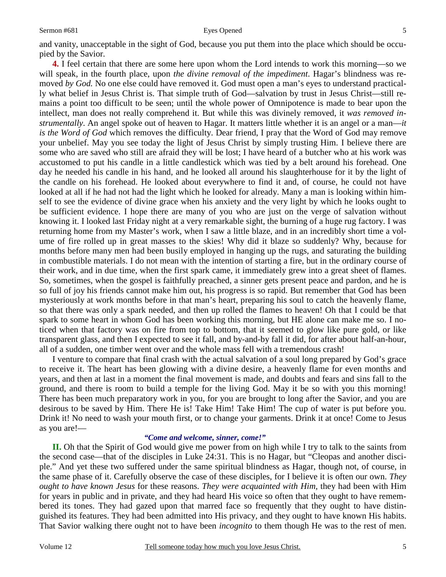and vanity, unacceptable in the sight of God, because you put them into the place which should be occupied by the Savior.

**4.** I feel certain that there are some here upon whom the Lord intends to work this morning—so we will speak, in the fourth place, upon *the divine removal of the impediment*. Hagar's blindness was removed *by God.* No one else could have removed it. God must open a man's eyes to understand practically what belief in Jesus Christ is. That simple truth of God—salvation by trust in Jesus Christ—still remains a point too difficult to be seen; until the whole power of Omnipotence is made to bear upon the intellect, man does not really comprehend it. But while this was divinely removed, it *was removed instrumentally*. An angel spoke out of heaven to Hagar. It matters little whether it is an angel or a man—*it is the Word of God* which removes the difficulty. Dear friend, I pray that the Word of God may remove your unbelief. May you see today the light of Jesus Christ by simply trusting Him. I believe there are some who are saved who still are afraid they will be lost; I have heard of a butcher who at his work was accustomed to put his candle in a little candlestick which was tied by a belt around his forehead. One day he needed his candle in his hand, and he looked all around his slaughterhouse for it by the light of the candle on his forehead. He looked about everywhere to find it and, of course, he could not have looked at all if he had not had the light which he looked for already. Many a man is looking within himself to see the evidence of divine grace when his anxiety and the very light by which he looks ought to be sufficient evidence. I hope there are many of you who are just on the verge of salvation without knowing it. I looked last Friday night at a very remarkable sight, the burning of a huge rug factory. I was returning home from my Master's work, when I saw a little blaze, and in an incredibly short time a volume of fire rolled up in great masses to the skies! Why did it blaze so suddenly? Why, because for months before many men had been busily employed in hanging up the rugs, and saturating the building in combustible materials. I do not mean with the intention of starting a fire, but in the ordinary course of their work, and in due time, when the first spark came, it immediately grew into a great sheet of flames. So, sometimes, when the gospel is faithfully preached, a sinner gets present peace and pardon, and he is so full of joy his friends cannot make him out, his progress is so rapid. But remember that God has been mysteriously at work months before in that man's heart, preparing his soul to catch the heavenly flame, so that there was only a spark needed, and then up rolled the flames to heaven! Oh that I could be that spark to some heart in whom God has been working this morning, but HE alone can make me so. I noticed when that factory was on fire from top to bottom, that it seemed to glow like pure gold, or like transparent glass, and then I expected to see it fall, and by-and-by fall it did, for after about half-an-hour, all of a sudden, one timber went over and the whole mass fell with a tremendous crash!

 I venture to compare that final crash with the actual salvation of a soul long prepared by God's grace to receive it. The heart has been glowing with a divine desire, a heavenly flame for even months and years, and then at last in a moment the final movement is made, and doubts and fears and sins fall to the ground, and there is room to build a temple for the living God. May it be so with you this morning! There has been much preparatory work in you, for you are brought to long after the Savior, and you are desirous to be saved by Him. There He is! Take Him! Take Him! The cup of water is put before you. Drink it! No need to wash your mouth first, or to change your garments. Drink it at once! Come to Jesus as you are!—

### *"Come and welcome, sinner, come!"*

**II.** Oh that the Spirit of God would give me power from on high while I try to talk to the saints from the second case—that of the disciples in Luke 24:31. This is no Hagar, but "Cleopas and another disciple." And yet these two suffered under the same spiritual blindness as Hagar, though not, of course, in the same phase of it. Carefully observe the case of these disciples, for I believe it is often our own. *They ought to have known Jesus* for these reasons. *They were acquainted with Him,* they had been with Him for years in public and in private, and they had heard His voice so often that they ought to have remembered its tones. They had gazed upon that marred face so frequently that they ought to have distinguished its features. They had been admitted into His privacy, and they ought to have known His habits. That Savior walking there ought not to have been *incognito* to them though He was to the rest of men.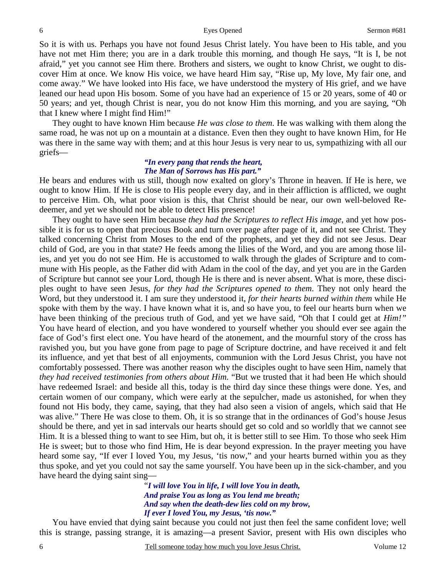So it is with us. Perhaps you have not found Jesus Christ lately. You have been to His table, and you have not met Him there; you are in a dark trouble this morning, and though He says, "It is I, be not afraid," yet you cannot see Him there. Brothers and sisters, we ought to know Christ, we ought to discover Him at once. We know His voice, we have heard Him say, "Rise up, My love, My fair one, and come away." We have looked into His face, we have understood the mystery of His grief, and we have leaned our head upon His bosom. Some of you have had an experience of 15 or 20 years, some of 40 or 50 years; and yet, though Christ is near, you do not know Him this morning, and you are saying, "Oh that I knew where I might find Him!"

 They ought to have known Him because *He was close to them*. He was walking with them along the same road, he was not up on a mountain at a distance. Even then they ought to have known Him, for He was there in the same way with them; and at this hour Jesus is very near to us, sympathizing with all our griefs—

### *"In every pang that rends the heart, The Man of Sorrows has His part."*

He bears and endures with us still, though now exalted on glory's Throne in heaven. If He is here, we ought to know Him. If He is close to His people every day, and in their affliction is afflicted, we ought to perceive Him. Oh, what poor vision is this, that Christ should be near, our own well-beloved Redeemer, and yet we should not be able to detect His presence!

 They ought to have seen Him because *they had the Scriptures to reflect His image*, and yet how possible it is for us to open that precious Book and turn over page after page of it, and not see Christ. They talked concerning Christ from Moses to the end of the prophets, and yet they did not see Jesus. Dear child of God, are you in that state? He feeds among the lilies of the Word, and you are among those lilies, and yet you do not see Him. He is accustomed to walk through the glades of Scripture and to commune with His people, as the Father did with Adam in the cool of the day, and yet you are in the Garden of Scripture but cannot see your Lord, though He is there and is never absent. What is more, these disciples ought to have seen Jesus, *for they had the Scriptures opened to them*. They not only heard the Word, but they understood it. I am sure they understood it, *for their hearts burned within them* while He spoke with them by the way. I have known what it is, and so have you, to feel our hearts burn when we have been thinking of the precious truth of God, and yet we have said, "Oh that I could get at *Him!"* You have heard of election, and you have wondered to yourself whether you should ever see again the face of God's first elect one. You have heard of the atonement, and the mournful story of the cross has ravished you, but you have gone from page to page of Scripture doctrine, and have received it and felt its influence, and yet that best of all enjoyments, communion with the Lord Jesus Christ, you have not comfortably possessed. There was another reason why the disciples ought to have seen Him, namely that *they had received testimonies from others about Him.* "But we trusted that it had been He which should have redeemed Israel: and beside all this, today is the third day since these things were done. Yes, and certain women of our company, which were early at the sepulcher, made us astonished, for when they found not His body, they came, saying, that they had also seen a vision of angels, which said that He was alive." There He was close to them. Oh, it is so strange that in the ordinances of God's house Jesus should be there, and yet in sad intervals our hearts should get so cold and so worldly that we cannot see Him. It is a blessed thing to want to see Him, but oh, it is better still to see Him. To those who seek Him He is sweet; but to those who find Him, He is dear beyond expression. In the prayer meeting you have heard some say, "If ever I loved You, my Jesus, 'tis now," and your hearts burned within you as they thus spoke, and yet you could not say the same yourself. You have been up in the sick-chamber, and you have heard the dying saint sing—

> "*I will love You in life, I will love You in death, And praise You as long as You lend me breath; And say when the death-dew lies cold on my brow, If ever I loved You, my Jesus, 'tis now."*

 You have envied that dying saint because you could not just then feel the same confident love; well this is strange, passing strange, it is amazing—a present Savior, present with His own disciples who

6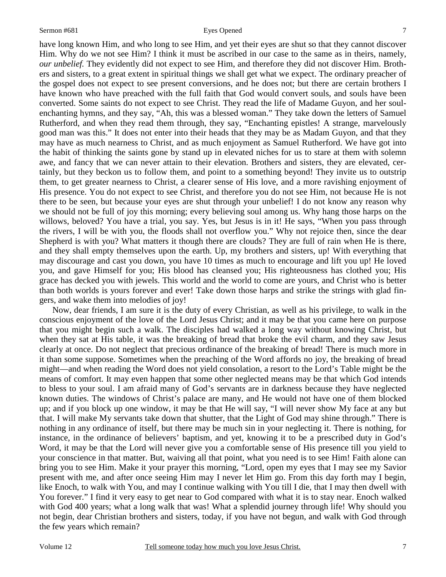### Sermon #681 Eyes Opened

have long known Him, and who long to see Him, and yet their eyes are shut so that they cannot discover Him. Why do we not see Him? I think it must be ascribed in our case to the same as in theirs, namely, *our unbelief.* They evidently did not expect to see Him, and therefore they did not discover Him. Brothers and sisters, to a great extent in spiritual things we shall get what we expect. The ordinary preacher of the gospel does not expect to see present conversions, and he does not; but there are certain brothers I have known who have preached with the full faith that God would convert souls, and souls have been converted. Some saints do not expect to see Christ. They read the life of Madame Guyon, and her soulenchanting hymns, and they say, "Ah, this was a blessed woman." They take down the letters of Samuel Rutherford, and when they read them through, they say, "Enchanting epistles! A strange, marvelously good man was this." It does not enter into their heads that they may be as Madam Guyon, and that they may have as much nearness to Christ, and as much enjoyment as Samuel Rutherford. We have got into the habit of thinking the saints gone by stand up in elevated niches for us to stare at them with solemn awe, and fancy that we can never attain to their elevation. Brothers and sisters, they are elevated, certainly, but they beckon us to follow them, and point to a something beyond! They invite us to outstrip them, to get greater nearness to Christ, a clearer sense of His love, and a more ravishing enjoyment of His presence. You do not expect to see Christ, and therefore you do not see Him, not because He is not there to be seen, but because your eyes are shut through your unbelief! I do not know any reason why we should not be full of joy this morning; every believing soul among us. Why hang those harps on the willows, beloved? You have a trial, you say. Yes, but Jesus is in it! He says, "When you pass through the rivers, I will be with you, the floods shall not overflow you." Why not rejoice then, since the dear Shepherd is with you? What matters it though there are clouds? They are full of rain when He is there, and they shall empty themselves upon the earth. Up, my brothers and sisters, up! With everything that may discourage and cast you down, you have 10 times as much to encourage and lift you up! He loved you, and gave Himself for you; His blood has cleansed you; His righteousness has clothed you; His grace has decked you with jewels. This world and the world to come are yours, and Christ who is better than both worlds is yours forever and ever! Take down those harps and strike the strings with glad fingers, and wake them into melodies of joy!

 Now, dear friends, I am sure it is the duty of every Christian, as well as his privilege, to walk in the conscious enjoyment of the love of the Lord Jesus Christ; and it may be that you came here on purpose that you might begin such a walk. The disciples had walked a long way without knowing Christ, but when they sat at His table, it was the breaking of bread that broke the evil charm, and they saw Jesus clearly at once. Do not neglect that precious ordinance of the breaking of bread! There is much more in it than some suppose. Sometimes when the preaching of the Word affords no joy, the breaking of bread might—and when reading the Word does not yield consolation, a resort to the Lord's Table might be the means of comfort. It may even happen that some other neglected means may be that which God intends to bless to your soul. I am afraid many of God's servants are in darkness because they have neglected known duties. The windows of Christ's palace are many, and He would not have one of them blocked up; and if you block up one window, it may be that He will say, "I will never show My face at any but that. I will make My servants take down that shutter, that the Light of God may shine through." There is nothing in any ordinance of itself, but there may be much sin in your neglecting it. There is nothing, for instance, in the ordinance of believers' baptism, and yet, knowing it to be a prescribed duty in God's Word, it may be that the Lord will never give you a comfortable sense of His presence till you yield to your conscience in that matter. But, waiving all that point, what you need is to see Him! Faith alone can bring you to see Him. Make it your prayer this morning, "Lord, open my eyes that I may see my Savior present with me, and after once seeing Him may I never let Him go. From this day forth may I begin, like Enoch, to walk with You, and may I continue walking with You till I die, that I may then dwell with You forever." I find it very easy to get near to God compared with what it is to stay near. Enoch walked with God 400 years; what a long walk that was! What a splendid journey through life! Why should you not begin, dear Christian brothers and sisters, today, if you have not begun, and walk with God through the few years which remain?